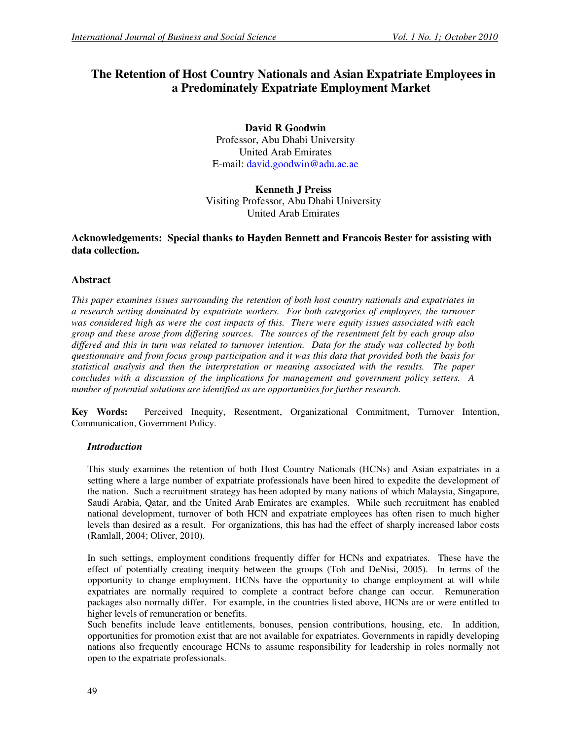# **The Retention of Host Country Nationals and Asian Expatriate Employees in a Predominately Expatriate Employment Market**

**David R Goodwin**  Professor, Abu Dhabi University United Arab Emirates E-mail: david.goodwin@adu.ac.ae

**Kenneth J Preiss**  Visiting Professor, Abu Dhabi University United Arab Emirates

## **Acknowledgements: Special thanks to Hayden Bennett and Francois Bester for assisting with data collection.**

## **Abstract**

*This paper examines issues surrounding the retention of both host country nationals and expatriates in a research setting dominated by expatriate workers. For both categories of employees, the turnover was considered high as were the cost impacts of this. There were equity issues associated with each group and these arose from differing sources. The sources of the resentment felt by each group also differed and this in turn was related to turnover intention. Data for the study was collected by both questionnaire and from focus group participation and it was this data that provided both the basis for statistical analysis and then the interpretation or meaning associated with the results. The paper concludes with a discussion of the implications for management and government policy setters. A number of potential solutions are identified as are opportunities for further research.* 

**Key Words:** Perceived Inequity, Resentment, Organizational Commitment, Turnover Intention, Communication, Government Policy.

### *Introduction*

This study examines the retention of both Host Country Nationals (HCNs) and Asian expatriates in a setting where a large number of expatriate professionals have been hired to expedite the development of the nation. Such a recruitment strategy has been adopted by many nations of which Malaysia, Singapore, Saudi Arabia, Qatar, and the United Arab Emirates are examples. While such recruitment has enabled national development, turnover of both HCN and expatriate employees has often risen to much higher levels than desired as a result. For organizations, this has had the effect of sharply increased labor costs (Ramlall, 2004; Oliver, 2010).

In such settings, employment conditions frequently differ for HCNs and expatriates. These have the effect of potentially creating inequity between the groups (Toh and DeNisi, 2005). In terms of the opportunity to change employment, HCNs have the opportunity to change employment at will while expatriates are normally required to complete a contract before change can occur. Remuneration packages also normally differ. For example, in the countries listed above, HCNs are or were entitled to higher levels of remuneration or benefits.

Such benefits include leave entitlements, bonuses, pension contributions, housing, etc. In addition, opportunities for promotion exist that are not available for expatriates. Governments in rapidly developing nations also frequently encourage HCNs to assume responsibility for leadership in roles normally not open to the expatriate professionals.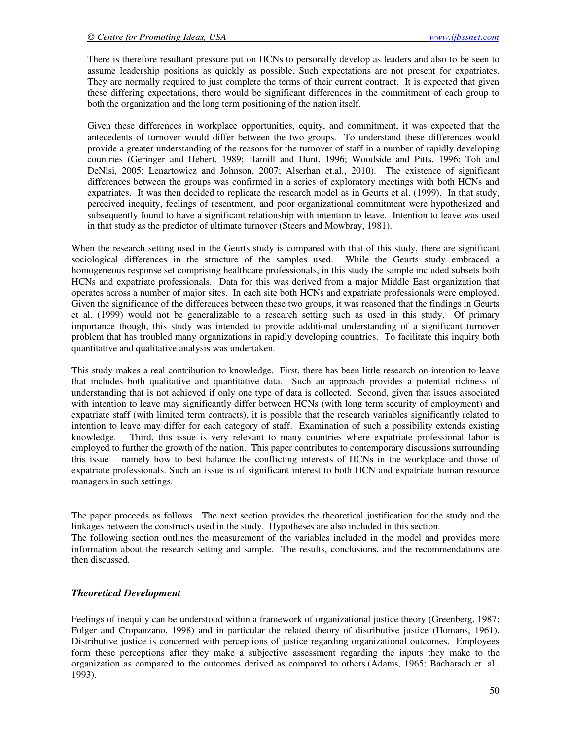There is therefore resultant pressure put on HCNs to personally develop as leaders and also to be seen to assume leadership positions as quickly as possible. Such expectations are not present for expatriates. They are normally required to just complete the terms of their current contract. It is expected that given these differing expectations, there would be significant differences in the commitment of each group to both the organization and the long term positioning of the nation itself.

Given these differences in workplace opportunities, equity, and commitment, it was expected that the antecedents of turnover would differ between the two groups. To understand these differences would provide a greater understanding of the reasons for the turnover of staff in a number of rapidly developing countries (Geringer and Hebert, 1989; Hamill and Hunt, 1996; Woodside and Pitts, 1996; Toh and DeNisi, 2005; Lenartowicz and Johnson, 2007; Alserhan et.al., 2010). The existence of significant differences between the groups was confirmed in a series of exploratory meetings with both HCNs and expatriates. It was then decided to replicate the research model as in Geurts et al. (1999). In that study, perceived inequity, feelings of resentment, and poor organizational commitment were hypothesized and subsequently found to have a significant relationship with intention to leave. Intention to leave was used in that study as the predictor of ultimate turnover (Steers and Mowbray, 1981).

When the research setting used in the Geurts study is compared with that of this study, there are significant sociological differences in the structure of the samples used. While the Geurts study embraced a homogeneous response set comprising healthcare professionals, in this study the sample included subsets both HCNs and expatriate professionals. Data for this was derived from a major Middle East organization that operates across a number of major sites. In each site both HCNs and expatriate professionals were employed. Given the significance of the differences between these two groups, it was reasoned that the findings in Geurts et al. (1999) would not be generalizable to a research setting such as used in this study. Of primary importance though, this study was intended to provide additional understanding of a significant turnover problem that has troubled many organizations in rapidly developing countries. To facilitate this inquiry both quantitative and qualitative analysis was undertaken.

This study makes a real contribution to knowledge. First, there has been little research on intention to leave that includes both qualitative and quantitative data. Such an approach provides a potential richness of understanding that is not achieved if only one type of data is collected. Second, given that issues associated with intention to leave may significantly differ between HCNs (with long term security of employment) and expatriate staff (with limited term contracts), it is possible that the research variables significantly related to intention to leave may differ for each category of staff. Examination of such a possibility extends existing knowledge. Third, this issue is very relevant to many countries where expatriate professional labor is employed to further the growth of the nation. This paper contributes to contemporary discussions surrounding this issue – namely how to best balance the conflicting interests of HCNs in the workplace and those of expatriate professionals. Such an issue is of significant interest to both HCN and expatriate human resource managers in such settings.

The paper proceeds as follows. The next section provides the theoretical justification for the study and the linkages between the constructs used in the study. Hypotheses are also included in this section. The following section outlines the measurement of the variables included in the model and provides more information about the research setting and sample. The results, conclusions, and the recommendations are then discussed.

#### *Theoretical Development*

Feelings of inequity can be understood within a framework of organizational justice theory (Greenberg, 1987; Folger and Cropanzano, 1998) and in particular the related theory of distributive justice (Homans, 1961). Distributive justice is concerned with perceptions of justice regarding organizational outcomes. Employees form these perceptions after they make a subjective assessment regarding the inputs they make to the organization as compared to the outcomes derived as compared to others.(Adams, 1965; Bacharach et. al., 1993).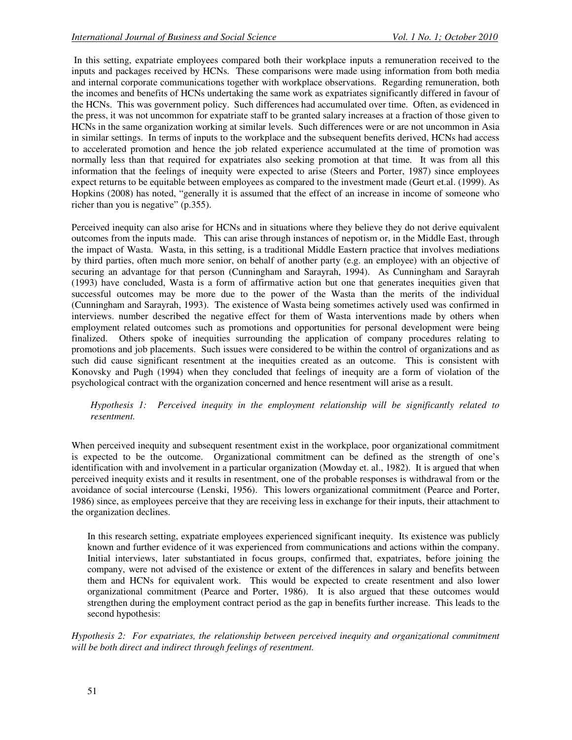In this setting, expatriate employees compared both their workplace inputs a remuneration received to the inputs and packages received by HCNs. These comparisons were made using information from both media and internal corporate communications together with workplace observations. Regarding remuneration, both the incomes and benefits of HCNs undertaking the same work as expatriates significantly differed in favour of the HCNs. This was government policy. Such differences had accumulated over time. Often, as evidenced in the press, it was not uncommon for expatriate staff to be granted salary increases at a fraction of those given to HCNs in the same organization working at similar levels. Such differences were or are not uncommon in Asia in similar settings. In terms of inputs to the workplace and the subsequent benefits derived, HCNs had access to accelerated promotion and hence the job related experience accumulated at the time of promotion was normally less than that required for expatriates also seeking promotion at that time. It was from all this information that the feelings of inequity were expected to arise (Steers and Porter, 1987) since employees expect returns to be equitable between employees as compared to the investment made (Geurt et.al. (1999). As Hopkins (2008) has noted, "generally it is assumed that the effect of an increase in income of someone who richer than you is negative" (p.355).

Perceived inequity can also arise for HCNs and in situations where they believe they do not derive equivalent outcomes from the inputs made. This can arise through instances of nepotism or, in the Middle East, through the impact of Wasta. Wasta, in this setting, is a traditional Middle Eastern practice that involves mediations by third parties, often much more senior, on behalf of another party (e.g. an employee) with an objective of securing an advantage for that person (Cunningham and Sarayrah, 1994). As Cunningham and Sarayrah (1993) have concluded, Wasta is a form of affirmative action but one that generates inequities given that successful outcomes may be more due to the power of the Wasta than the merits of the individual (Cunningham and Sarayrah, 1993). The existence of Wasta being sometimes actively used was confirmed in interviews. number described the negative effect for them of Wasta interventions made by others when employment related outcomes such as promotions and opportunities for personal development were being finalized. Others spoke of inequities surrounding the application of company procedures relating to promotions and job placements. Such issues were considered to be within the control of organizations and as such did cause significant resentment at the inequities created as an outcome. This is consistent with Konovsky and Pugh (1994) when they concluded that feelings of inequity are a form of violation of the psychological contract with the organization concerned and hence resentment will arise as a result.

*Hypothesis 1: Perceived inequity in the employment relationship will be significantly related to resentment.* 

When perceived inequity and subsequent resentment exist in the workplace, poor organizational commitment is expected to be the outcome. Organizational commitment can be defined as the strength of one's identification with and involvement in a particular organization (Mowday et. al., 1982). It is argued that when perceived inequity exists and it results in resentment, one of the probable responses is withdrawal from or the avoidance of social intercourse (Lenski, 1956). This lowers organizational commitment (Pearce and Porter, 1986) since, as employees perceive that they are receiving less in exchange for their inputs, their attachment to the organization declines.

In this research setting, expatriate employees experienced significant inequity. Its existence was publicly known and further evidence of it was experienced from communications and actions within the company. Initial interviews, later substantiated in focus groups, confirmed that, expatriates, before joining the company, were not advised of the existence or extent of the differences in salary and benefits between them and HCNs for equivalent work. This would be expected to create resentment and also lower organizational commitment (Pearce and Porter, 1986). It is also argued that these outcomes would strengthen during the employment contract period as the gap in benefits further increase. This leads to the second hypothesis:

*Hypothesis 2: For expatriates, the relationship between perceived inequity and organizational commitment will be both direct and indirect through feelings of resentment.*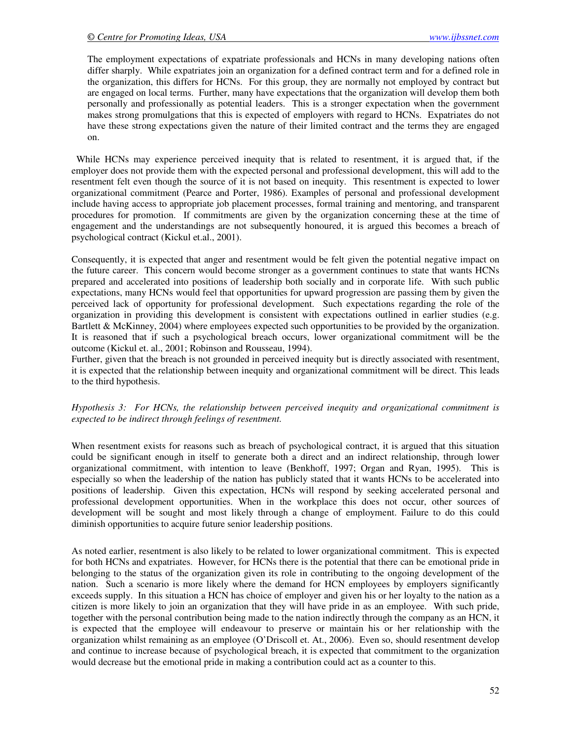The employment expectations of expatriate professionals and HCNs in many developing nations often differ sharply. While expatriates join an organization for a defined contract term and for a defined role in the organization, this differs for HCNs. For this group, they are normally not employed by contract but are engaged on local terms. Further, many have expectations that the organization will develop them both personally and professionally as potential leaders. This is a stronger expectation when the government makes strong promulgations that this is expected of employers with regard to HCNs. Expatriates do not have these strong expectations given the nature of their limited contract and the terms they are engaged on.

 While HCNs may experience perceived inequity that is related to resentment, it is argued that, if the employer does not provide them with the expected personal and professional development, this will add to the resentment felt even though the source of it is not based on inequity. This resentment is expected to lower organizational commitment (Pearce and Porter, 1986). Examples of personal and professional development include having access to appropriate job placement processes, formal training and mentoring, and transparent procedures for promotion. If commitments are given by the organization concerning these at the time of engagement and the understandings are not subsequently honoured, it is argued this becomes a breach of psychological contract (Kickul et.al., 2001).

Consequently, it is expected that anger and resentment would be felt given the potential negative impact on the future career. This concern would become stronger as a government continues to state that wants HCNs prepared and accelerated into positions of leadership both socially and in corporate life. With such public expectations, many HCNs would feel that opportunities for upward progression are passing them by given the perceived lack of opportunity for professional development. Such expectations regarding the role of the organization in providing this development is consistent with expectations outlined in earlier studies (e.g. Bartlett & McKinney, 2004) where employees expected such opportunities to be provided by the organization. It is reasoned that if such a psychological breach occurs, lower organizational commitment will be the outcome (Kickul et. al., 2001; Robinson and Rousseau, 1994).

Further, given that the breach is not grounded in perceived inequity but is directly associated with resentment, it is expected that the relationship between inequity and organizational commitment will be direct. This leads to the third hypothesis.

*Hypothesis 3: For HCNs, the relationship between perceived inequity and organizational commitment is expected to be indirect through feelings of resentment.* 

When resentment exists for reasons such as breach of psychological contract, it is argued that this situation could be significant enough in itself to generate both a direct and an indirect relationship, through lower organizational commitment, with intention to leave (Benkhoff, 1997; Organ and Ryan, 1995). This is especially so when the leadership of the nation has publicly stated that it wants HCNs to be accelerated into positions of leadership. Given this expectation, HCNs will respond by seeking accelerated personal and professional development opportunities. When in the workplace this does not occur, other sources of development will be sought and most likely through a change of employment. Failure to do this could diminish opportunities to acquire future senior leadership positions.

As noted earlier, resentment is also likely to be related to lower organizational commitment. This is expected for both HCNs and expatriates. However, for HCNs there is the potential that there can be emotional pride in belonging to the status of the organization given its role in contributing to the ongoing development of the nation. Such a scenario is more likely where the demand for HCN employees by employers significantly exceeds supply. In this situation a HCN has choice of employer and given his or her loyalty to the nation as a citizen is more likely to join an organization that they will have pride in as an employee. With such pride, together with the personal contribution being made to the nation indirectly through the company as an HCN, it is expected that the employee will endeavour to preserve or maintain his or her relationship with the organization whilst remaining as an employee (O'Driscoll et. At., 2006). Even so, should resentment develop and continue to increase because of psychological breach, it is expected that commitment to the organization would decrease but the emotional pride in making a contribution could act as a counter to this.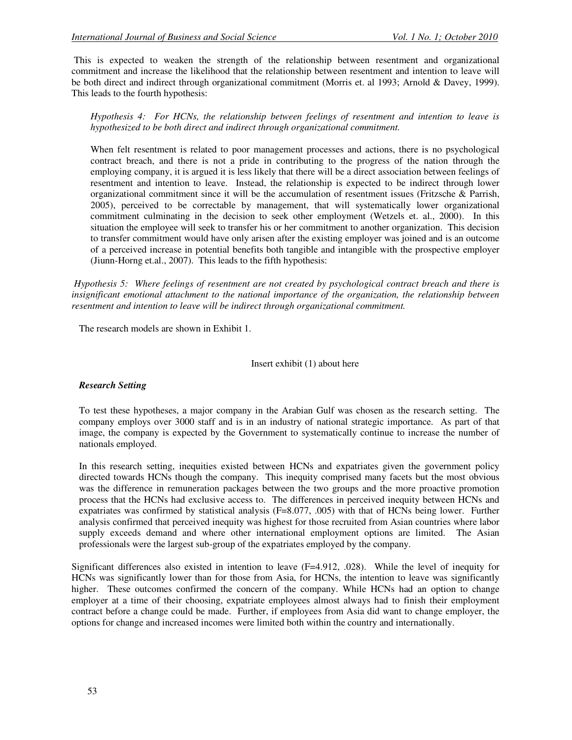This is expected to weaken the strength of the relationship between resentment and organizational commitment and increase the likelihood that the relationship between resentment and intention to leave will be both direct and indirect through organizational commitment (Morris et. al 1993; Arnold & Davey, 1999). This leads to the fourth hypothesis:

*Hypothesis 4: For HCNs, the relationship between feelings of resentment and intention to leave is hypothesized to be both direct and indirect through organizational commitment.* 

When felt resentment is related to poor management processes and actions, there is no psychological contract breach, and there is not a pride in contributing to the progress of the nation through the employing company, it is argued it is less likely that there will be a direct association between feelings of resentment and intention to leave. Instead, the relationship is expected to be indirect through lower organizational commitment since it will be the accumulation of resentment issues (Fritzsche & Parrish, 2005), perceived to be correctable by management, that will systematically lower organizational commitment culminating in the decision to seek other employment (Wetzels et. al., 2000). In this situation the employee will seek to transfer his or her commitment to another organization. This decision to transfer commitment would have only arisen after the existing employer was joined and is an outcome of a perceived increase in potential benefits both tangible and intangible with the prospective employer (Jiunn-Horng et.al., 2007). This leads to the fifth hypothesis:

 *Hypothesis 5: Where feelings of resentment are not created by psychological contract breach and there is insignificant emotional attachment to the national importance of the organization, the relationship between resentment and intention to leave will be indirect through organizational commitment.* 

The research models are shown in Exhibit 1.

#### Insert exhibit (1) about here

### *Research Setting*

To test these hypotheses, a major company in the Arabian Gulf was chosen as the research setting. The company employs over 3000 staff and is in an industry of national strategic importance. As part of that image, the company is expected by the Government to systematically continue to increase the number of nationals employed.

In this research setting, inequities existed between HCNs and expatriates given the government policy directed towards HCNs though the company. This inequity comprised many facets but the most obvious was the difference in remuneration packages between the two groups and the more proactive promotion process that the HCNs had exclusive access to. The differences in perceived inequity between HCNs and expatriates was confirmed by statistical analysis (F=8.077, .005) with that of HCNs being lower. Further analysis confirmed that perceived inequity was highest for those recruited from Asian countries where labor supply exceeds demand and where other international employment options are limited. The Asian professionals were the largest sub-group of the expatriates employed by the company.

Significant differences also existed in intention to leave  $(F=4.912, .028)$ . While the level of inequity for HCNs was significantly lower than for those from Asia, for HCNs, the intention to leave was significantly higher. These outcomes confirmed the concern of the company. While HCNs had an option to change employer at a time of their choosing, expatriate employees almost always had to finish their employment contract before a change could be made. Further, if employees from Asia did want to change employer, the options for change and increased incomes were limited both within the country and internationally.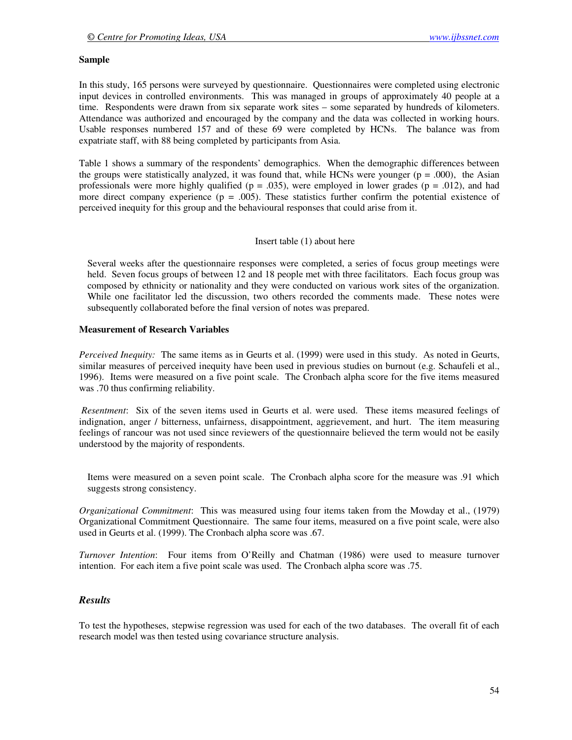#### **Sample**

In this study, 165 persons were surveyed by questionnaire. Questionnaires were completed using electronic input devices in controlled environments. This was managed in groups of approximately 40 people at a time. Respondents were drawn from six separate work sites – some separated by hundreds of kilometers. Attendance was authorized and encouraged by the company and the data was collected in working hours. Usable responses numbered 157 and of these 69 were completed by HCNs. The balance was from expatriate staff, with 88 being completed by participants from Asia.

Table 1 shows a summary of the respondents' demographics. When the demographic differences between the groups were statistically analyzed, it was found that, while HCNs were younger ( $p = .000$ ), the Asian professionals were more highly qualified ( $p = .035$ ), were employed in lower grades ( $p = .012$ ), and had more direct company experience ( $p = .005$ ). These statistics further confirm the potential existence of perceived inequity for this group and the behavioural responses that could arise from it.

#### Insert table (1) about here

Several weeks after the questionnaire responses were completed, a series of focus group meetings were held. Seven focus groups of between 12 and 18 people met with three facilitators. Each focus group was composed by ethnicity or nationality and they were conducted on various work sites of the organization. While one facilitator led the discussion, two others recorded the comments made. These notes were subsequently collaborated before the final version of notes was prepared.

#### **Measurement of Research Variables**

*Perceived Inequity:* The same items as in Geurts et al. (1999) were used in this study. As noted in Geurts, similar measures of perceived inequity have been used in previous studies on burnout (e.g. Schaufeli et al., 1996). Items were measured on a five point scale. The Cronbach alpha score for the five items measured was .70 thus confirming reliability.

 *Resentment*: Six of the seven items used in Geurts et al. were used. These items measured feelings of indignation, anger / bitterness, unfairness, disappointment, aggrievement, and hurt. The item measuring feelings of rancour was not used since reviewers of the questionnaire believed the term would not be easily understood by the majority of respondents.

Items were measured on a seven point scale. The Cronbach alpha score for the measure was .91 which suggests strong consistency.

*Organizational Commitment*: This was measured using four items taken from the Mowday et al., (1979) Organizational Commitment Questionnaire. The same four items, measured on a five point scale, were also used in Geurts et al. (1999). The Cronbach alpha score was .67.

*Turnover Intention*: Four items from O'Reilly and Chatman (1986) were used to measure turnover intention. For each item a five point scale was used. The Cronbach alpha score was .75.

#### *Results*

To test the hypotheses, stepwise regression was used for each of the two databases. The overall fit of each research model was then tested using covariance structure analysis.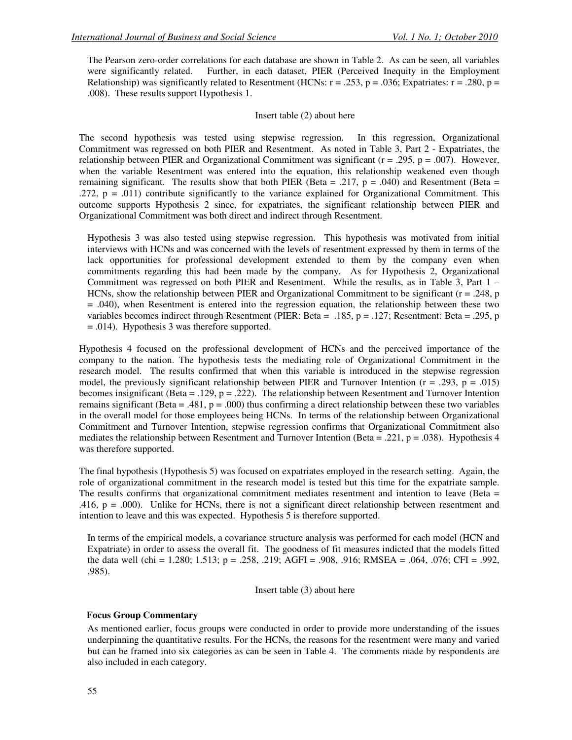The Pearson zero-order correlations for each database are shown in Table 2. As can be seen, all variables were significantly related. Further, in each dataset, PIER (Perceived Inequity in the Employment Relationship) was significantly related to Resentment (HCNs:  $r = .253$ ,  $p = .036$ ; Expatriates:  $r = .280$ ,  $p =$ .008). These results support Hypothesis 1.

#### Insert table (2) about here

The second hypothesis was tested using stepwise regression. In this regression, Organizational Commitment was regressed on both PIER and Resentment. As noted in Table 3, Part 2 - Expatriates, the relationship between PIER and Organizational Commitment was significant ( $r = .295$ ,  $p = .007$ ). However, when the variable Resentment was entered into the equation, this relationship weakened even though remaining significant. The results show that both PIER (Beta = .217,  $p = .040$ ) and Resentment (Beta = .272,  $p = .011$ ) contribute significantly to the variance explained for Organizational Commitment. This outcome supports Hypothesis 2 since, for expatriates, the significant relationship between PIER and Organizational Commitment was both direct and indirect through Resentment.

Hypothesis 3 was also tested using stepwise regression. This hypothesis was motivated from initial interviews with HCNs and was concerned with the levels of resentment expressed by them in terms of the lack opportunities for professional development extended to them by the company even when commitments regarding this had been made by the company. As for Hypothesis 2, Organizational Commitment was regressed on both PIER and Resentment. While the results, as in Table 3, Part 1 – HCNs, show the relationship between PIER and Organizational Commitment to be significant  $(r = .248, p$ = .040), when Resentment is entered into the regression equation, the relationship between these two variables becomes indirect through Resentment (PIER: Beta = .185, p = .127; Resentment: Beta = .295, p = .014). Hypothesis 3 was therefore supported.

Hypothesis 4 focused on the professional development of HCNs and the perceived importance of the company to the nation. The hypothesis tests the mediating role of Organizational Commitment in the research model. The results confirmed that when this variable is introduced in the stepwise regression model, the previously significant relationship between PIER and Turnover Intention ( $r = .293$ ,  $p = .015$ ) becomes insignificant (Beta = .129,  $p = .222$ ). The relationship between Resentment and Turnover Intention remains significant (Beta = .481,  $p = .000$ ) thus confirming a direct relationship between these two variables in the overall model for those employees being HCNs. In terms of the relationship between Organizational Commitment and Turnover Intention, stepwise regression confirms that Organizational Commitment also mediates the relationship between Resentment and Turnover Intention (Beta = .221, p = .038). Hypothesis 4 was therefore supported.

The final hypothesis (Hypothesis 5) was focused on expatriates employed in the research setting. Again, the role of organizational commitment in the research model is tested but this time for the expatriate sample. The results confirms that organizational commitment mediates resentment and intention to leave (Beta = .416,  $p = .000$ . Unlike for HCNs, there is not a significant direct relationship between resentment and intention to leave and this was expected. Hypothesis 5 is therefore supported.

In terms of the empirical models, a covariance structure analysis was performed for each model (HCN and Expatriate) in order to assess the overall fit. The goodness of fit measures indicted that the models fitted the data well (chi = 1.280; 1.513; p = .258, .219; AGFI = .908, .916; RMSEA = .064, .076; CFI = .992, .985).

Insert table (3) about here

#### **Focus Group Commentary**

As mentioned earlier, focus groups were conducted in order to provide more understanding of the issues underpinning the quantitative results. For the HCNs, the reasons for the resentment were many and varied but can be framed into six categories as can be seen in Table 4. The comments made by respondents are also included in each category.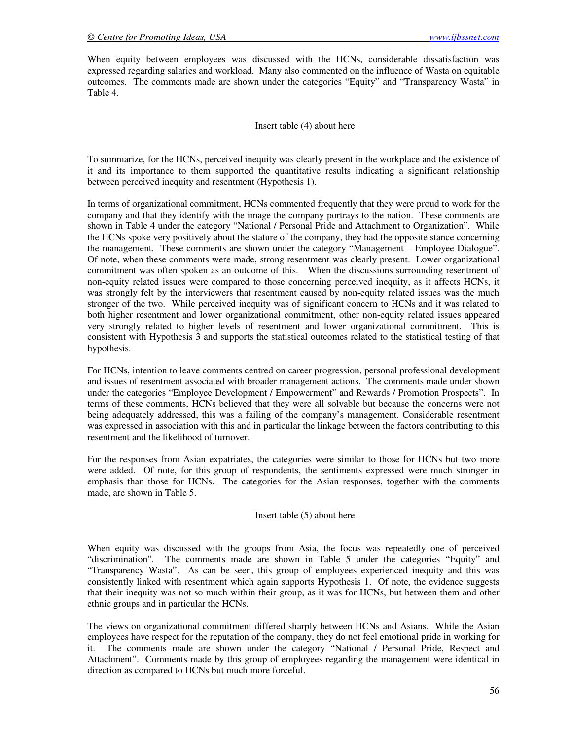When equity between employees was discussed with the HCNs, considerable dissatisfaction was expressed regarding salaries and workload. Many also commented on the influence of Wasta on equitable outcomes. The comments made are shown under the categories "Equity" and "Transparency Wasta" in Table 4.

Insert table (4) about here

To summarize, for the HCNs, perceived inequity was clearly present in the workplace and the existence of it and its importance to them supported the quantitative results indicating a significant relationship between perceived inequity and resentment (Hypothesis 1).

In terms of organizational commitment, HCNs commented frequently that they were proud to work for the company and that they identify with the image the company portrays to the nation. These comments are shown in Table 4 under the category "National / Personal Pride and Attachment to Organization". While the HCNs spoke very positively about the stature of the company, they had the opposite stance concerning the management. These comments are shown under the category "Management – Employee Dialogue". Of note, when these comments were made, strong resentment was clearly present. Lower organizational commitment was often spoken as an outcome of this. When the discussions surrounding resentment of non-equity related issues were compared to those concerning perceived inequity, as it affects HCNs, it was strongly felt by the interviewers that resentment caused by non-equity related issues was the much stronger of the two. While perceived inequity was of significant concern to HCNs and it was related to both higher resentment and lower organizational commitment, other non-equity related issues appeared very strongly related to higher levels of resentment and lower organizational commitment. This is consistent with Hypothesis 3 and supports the statistical outcomes related to the statistical testing of that hypothesis.

For HCNs, intention to leave comments centred on career progression, personal professional development and issues of resentment associated with broader management actions. The comments made under shown under the categories "Employee Development / Empowerment" and Rewards / Promotion Prospects". In terms of these comments, HCNs believed that they were all solvable but because the concerns were not being adequately addressed, this was a failing of the company's management. Considerable resentment was expressed in association with this and in particular the linkage between the factors contributing to this resentment and the likelihood of turnover.

For the responses from Asian expatriates, the categories were similar to those for HCNs but two more were added. Of note, for this group of respondents, the sentiments expressed were much stronger in emphasis than those for HCNs. The categories for the Asian responses, together with the comments made, are shown in Table 5.

Insert table (5) about here

When equity was discussed with the groups from Asia, the focus was repeatedly one of perceived "discrimination". The comments made are shown in Table 5 under the categories "Equity" and "Transparency Wasta". As can be seen, this group of employees experienced inequity and this was consistently linked with resentment which again supports Hypothesis 1. Of note, the evidence suggests that their inequity was not so much within their group, as it was for HCNs, but between them and other ethnic groups and in particular the HCNs.

The views on organizational commitment differed sharply between HCNs and Asians. While the Asian employees have respect for the reputation of the company, they do not feel emotional pride in working for it. The comments made are shown under the category "National / Personal Pride, Respect and Attachment". Comments made by this group of employees regarding the management were identical in direction as compared to HCNs but much more forceful.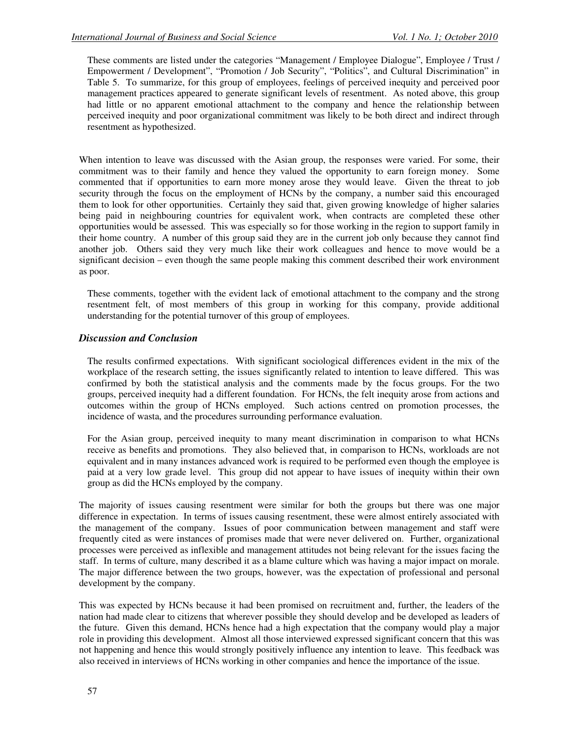These comments are listed under the categories "Management / Employee Dialogue", Employee / Trust / Empowerment / Development", "Promotion / Job Security", "Politics", and Cultural Discrimination" in Table 5. To summarize, for this group of employees, feelings of perceived inequity and perceived poor management practices appeared to generate significant levels of resentment. As noted above, this group had little or no apparent emotional attachment to the company and hence the relationship between perceived inequity and poor organizational commitment was likely to be both direct and indirect through resentment as hypothesized.

When intention to leave was discussed with the Asian group, the responses were varied. For some, their commitment was to their family and hence they valued the opportunity to earn foreign money. Some commented that if opportunities to earn more money arose they would leave. Given the threat to job security through the focus on the employment of HCNs by the company, a number said this encouraged them to look for other opportunities. Certainly they said that, given growing knowledge of higher salaries being paid in neighbouring countries for equivalent work, when contracts are completed these other opportunities would be assessed. This was especially so for those working in the region to support family in their home country. A number of this group said they are in the current job only because they cannot find another job. Others said they very much like their work colleagues and hence to move would be a significant decision – even though the same people making this comment described their work environment as poor.

These comments, together with the evident lack of emotional attachment to the company and the strong resentment felt, of most members of this group in working for this company, provide additional understanding for the potential turnover of this group of employees.

### *Discussion and Conclusion*

The results confirmed expectations. With significant sociological differences evident in the mix of the workplace of the research setting, the issues significantly related to intention to leave differed. This was confirmed by both the statistical analysis and the comments made by the focus groups. For the two groups, perceived inequity had a different foundation. For HCNs, the felt inequity arose from actions and outcomes within the group of HCNs employed. Such actions centred on promotion processes, the incidence of wasta, and the procedures surrounding performance evaluation.

For the Asian group, perceived inequity to many meant discrimination in comparison to what HCNs receive as benefits and promotions. They also believed that, in comparison to HCNs, workloads are not equivalent and in many instances advanced work is required to be performed even though the employee is paid at a very low grade level. This group did not appear to have issues of inequity within their own group as did the HCNs employed by the company.

The majority of issues causing resentment were similar for both the groups but there was one major difference in expectation. In terms of issues causing resentment, these were almost entirely associated with the management of the company. Issues of poor communication between management and staff were frequently cited as were instances of promises made that were never delivered on. Further, organizational processes were perceived as inflexible and management attitudes not being relevant for the issues facing the staff. In terms of culture, many described it as a blame culture which was having a major impact on morale. The major difference between the two groups, however, was the expectation of professional and personal development by the company.

This was expected by HCNs because it had been promised on recruitment and, further, the leaders of the nation had made clear to citizens that wherever possible they should develop and be developed as leaders of the future. Given this demand, HCNs hence had a high expectation that the company would play a major role in providing this development. Almost all those interviewed expressed significant concern that this was not happening and hence this would strongly positively influence any intention to leave. This feedback was also received in interviews of HCNs working in other companies and hence the importance of the issue.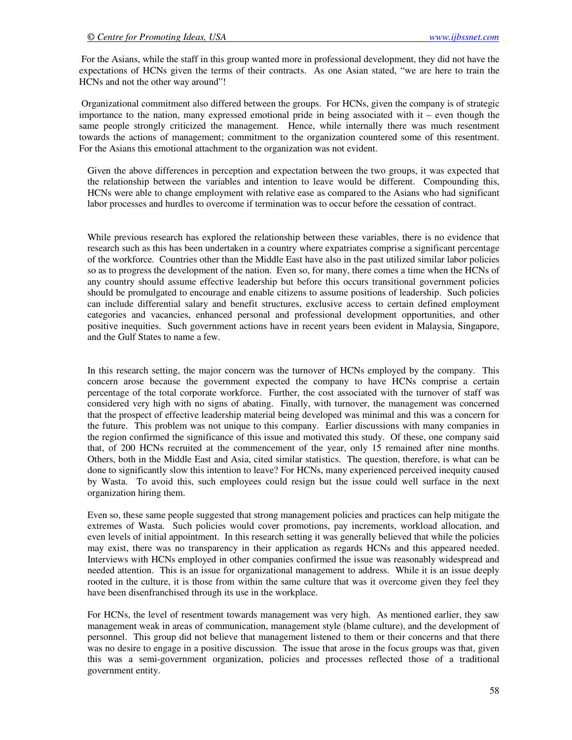For the Asians, while the staff in this group wanted more in professional development, they did not have the expectations of HCNs given the terms of their contracts. As one Asian stated, "we are here to train the HCNs and not the other way around"!

 Organizational commitment also differed between the groups. For HCNs, given the company is of strategic importance to the nation, many expressed emotional pride in being associated with it – even though the same people strongly criticized the management. Hence, while internally there was much resentment towards the actions of management; commitment to the organization countered some of this resentment. For the Asians this emotional attachment to the organization was not evident.

Given the above differences in perception and expectation between the two groups, it was expected that the relationship between the variables and intention to leave would be different. Compounding this, HCNs were able to change employment with relative ease as compared to the Asians who had significant labor processes and hurdles to overcome if termination was to occur before the cessation of contract.

While previous research has explored the relationship between these variables, there is no evidence that research such as this has been undertaken in a country where expatriates comprise a significant percentage of the workforce. Countries other than the Middle East have also in the past utilized similar labor policies so as to progress the development of the nation. Even so, for many, there comes a time when the HCNs of any country should assume effective leadership but before this occurs transitional government policies should be promulgated to encourage and enable citizens to assume positions of leadership. Such policies can include differential salary and benefit structures, exclusive access to certain defined employment categories and vacancies, enhanced personal and professional development opportunities, and other positive inequities. Such government actions have in recent years been evident in Malaysia, Singapore, and the Gulf States to name a few.

In this research setting, the major concern was the turnover of HCNs employed by the company. This concern arose because the government expected the company to have HCNs comprise a certain percentage of the total corporate workforce. Further, the cost associated with the turnover of staff was considered very high with no signs of abating. Finally, with turnover, the management was concerned that the prospect of effective leadership material being developed was minimal and this was a concern for the future. This problem was not unique to this company. Earlier discussions with many companies in the region confirmed the significance of this issue and motivated this study. Of these, one company said that, of 200 HCNs recruited at the commencement of the year, only 15 remained after nine months. Others, both in the Middle East and Asia, cited similar statistics. The question, therefore, is what can be done to significantly slow this intention to leave? For HCNs, many experienced perceived inequity caused by Wasta. To avoid this, such employees could resign but the issue could well surface in the next organization hiring them.

Even so, these same people suggested that strong management policies and practices can help mitigate the extremes of Wasta. Such policies would cover promotions, pay increments, workload allocation, and even levels of initial appointment. In this research setting it was generally believed that while the policies may exist, there was no transparency in their application as regards HCNs and this appeared needed. Interviews with HCNs employed in other companies confirmed the issue was reasonably widespread and needed attention. This is an issue for organizational management to address. While it is an issue deeply rooted in the culture, it is those from within the same culture that was it overcome given they feel they have been disenfranchised through its use in the workplace.

For HCNs, the level of resentment towards management was very high. As mentioned earlier, they saw management weak in areas of communication, management style (blame culture), and the development of personnel. This group did not believe that management listened to them or their concerns and that there was no desire to engage in a positive discussion. The issue that arose in the focus groups was that, given this was a semi-government organization, policies and processes reflected those of a traditional government entity.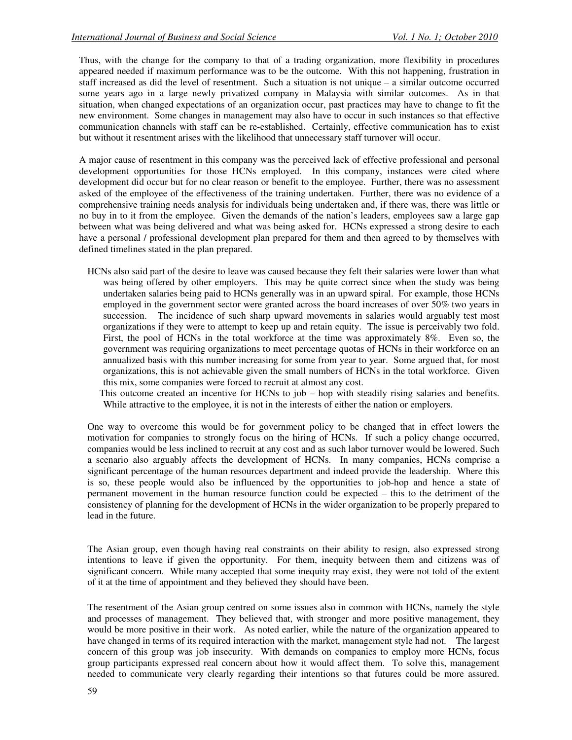Thus, with the change for the company to that of a trading organization, more flexibility in procedures appeared needed if maximum performance was to be the outcome. With this not happening, frustration in staff increased as did the level of resentment. Such a situation is not unique – a similar outcome occurred some years ago in a large newly privatized company in Malaysia with similar outcomes. As in that situation, when changed expectations of an organization occur, past practices may have to change to fit the new environment. Some changes in management may also have to occur in such instances so that effective communication channels with staff can be re-established. Certainly, effective communication has to exist but without it resentment arises with the likelihood that unnecessary staff turnover will occur.

A major cause of resentment in this company was the perceived lack of effective professional and personal development opportunities for those HCNs employed. In this company, instances were cited where development did occur but for no clear reason or benefit to the employee. Further, there was no assessment asked of the employee of the effectiveness of the training undertaken. Further, there was no evidence of a comprehensive training needs analysis for individuals being undertaken and, if there was, there was little or no buy in to it from the employee. Given the demands of the nation's leaders, employees saw a large gap between what was being delivered and what was being asked for. HCNs expressed a strong desire to each have a personal / professional development plan prepared for them and then agreed to by themselves with defined timelines stated in the plan prepared.

HCNs also said part of the desire to leave was caused because they felt their salaries were lower than what was being offered by other employers. This may be quite correct since when the study was being undertaken salaries being paid to HCNs generally was in an upward spiral. For example, those HCNs employed in the government sector were granted across the board increases of over 50% two years in succession. The incidence of such sharp upward movements in salaries would arguably test most organizations if they were to attempt to keep up and retain equity. The issue is perceivably two fold. First, the pool of HCNs in the total workforce at the time was approximately 8%. Even so, the government was requiring organizations to meet percentage quotas of HCNs in their workforce on an annualized basis with this number increasing for some from year to year. Some argued that, for most organizations, this is not achievable given the small numbers of HCNs in the total workforce. Given this mix, some companies were forced to recruit at almost any cost.

 This outcome created an incentive for HCNs to job – hop with steadily rising salaries and benefits. While attractive to the employee, it is not in the interests of either the nation or employers.

One way to overcome this would be for government policy to be changed that in effect lowers the motivation for companies to strongly focus on the hiring of HCNs. If such a policy change occurred, companies would be less inclined to recruit at any cost and as such labor turnover would be lowered. Such a scenario also arguably affects the development of HCNs. In many companies, HCNs comprise a significant percentage of the human resources department and indeed provide the leadership. Where this is so, these people would also be influenced by the opportunities to job-hop and hence a state of permanent movement in the human resource function could be expected – this to the detriment of the consistency of planning for the development of HCNs in the wider organization to be properly prepared to lead in the future.

The Asian group, even though having real constraints on their ability to resign, also expressed strong intentions to leave if given the opportunity. For them, inequity between them and citizens was of significant concern. While many accepted that some inequity may exist, they were not told of the extent of it at the time of appointment and they believed they should have been.

The resentment of the Asian group centred on some issues also in common with HCNs, namely the style and processes of management. They believed that, with stronger and more positive management, they would be more positive in their work. As noted earlier, while the nature of the organization appeared to have changed in terms of its required interaction with the market, management style had not. The largest concern of this group was job insecurity. With demands on companies to employ more HCNs, focus group participants expressed real concern about how it would affect them. To solve this, management needed to communicate very clearly regarding their intentions so that futures could be more assured.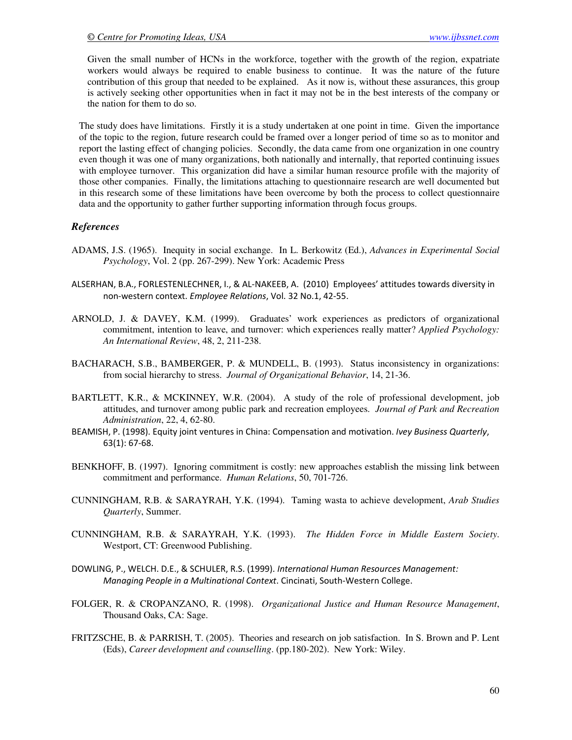Given the small number of HCNs in the workforce, together with the growth of the region, expatriate workers would always be required to enable business to continue. It was the nature of the future contribution of this group that needed to be explained. As it now is, without these assurances, this group is actively seeking other opportunities when in fact it may not be in the best interests of the company or the nation for them to do so.

The study does have limitations. Firstly it is a study undertaken at one point in time. Given the importance of the topic to the region, future research could be framed over a longer period of time so as to monitor and report the lasting effect of changing policies. Secondly, the data came from one organization in one country even though it was one of many organizations, both nationally and internally, that reported continuing issues with employee turnover. This organization did have a similar human resource profile with the majority of those other companies. Finally, the limitations attaching to questionnaire research are well documented but in this research some of these limitations have been overcome by both the process to collect questionnaire data and the opportunity to gather further supporting information through focus groups.

### *References*

- ADAMS, J.S. (1965). Inequity in social exchange. In L. Berkowitz (Ed.), *Advances in Experimental Social Psychology*, Vol. 2 (pp. 267-299). New York: Academic Press
- ALSERHAN, B.A., FORLESTENLECHNER, I., & AL-NAKEEB, A. (2010) Employees' attitudes towards diversity in non-western context. Employee Relations, Vol. 32 No.1, 42-55.
- ARNOLD, J. & DAVEY, K.M. (1999). Graduates' work experiences as predictors of organizational commitment, intention to leave, and turnover: which experiences really matter? *Applied Psychology: An International Review*, 48, 2, 211-238.
- BACHARACH, S.B., BAMBERGER, P. & MUNDELL, B. (1993). Status inconsistency in organizations: from social hierarchy to stress. *Journal of Organizational Behavior*, 14, 21-36.
- BARTLETT, K.R., & MCKINNEY, W.R. (2004). A study of the role of professional development, job attitudes, and turnover among public park and recreation employees. *Journal of Park and Recreation Administration*, 22, 4, 62-80.
- BEAMISH, P. (1998). Equity joint ventures in China: Compensation and motivation. Ivey Business Quarterly, 63(1): 67-68.
- BENKHOFF, B. (1997). Ignoring commitment is costly: new approaches establish the missing link between commitment and performance. *Human Relations*, 50, 701-726.
- CUNNINGHAM, R.B. & SARAYRAH, Y.K. (1994). Taming wasta to achieve development, *Arab Studies Quarterly*, Summer.
- CUNNINGHAM, R.B. & SARAYRAH, Y.K. (1993). *The Hidden Force in Middle Eastern Society*. Westport, CT: Greenwood Publishing.
- DOWLING, P., WELCH. D.E., & SCHULER, R.S. (1999). International Human Resources Management: Managing People in a Multinational Context. Cincinati, South-Western College.
- FOLGER, R. & CROPANZANO, R. (1998). *Organizational Justice and Human Resource Management*, Thousand Oaks, CA: Sage.
- FRITZSCHE, B. & PARRISH, T. (2005). Theories and research on job satisfaction. In S. Brown and P. Lent (Eds), *Career development and counselling*. (pp.180-202). New York: Wiley.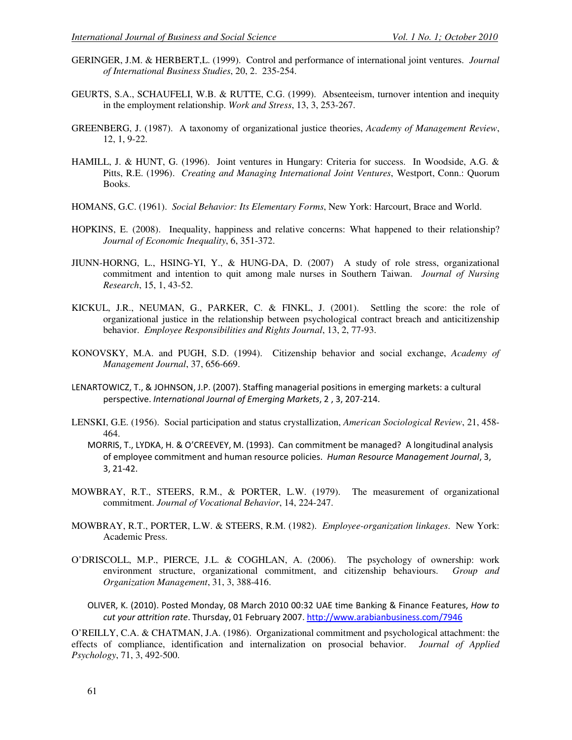- GERINGER, J.M. & HERBERT,L. (1999). Control and performance of international joint ventures. *Journal of International Business Studies*, 20, 2. 235-254.
- GEURTS, S.A., SCHAUFELI, W.B. & RUTTE, C.G. (1999). Absenteeism, turnover intention and inequity in the employment relationship. *Work and Stress*, 13, 3, 253-267.
- GREENBERG, J. (1987). A taxonomy of organizational justice theories, *Academy of Management Review*, 12, 1, 9-22.
- HAMILL, J. & HUNT, G. (1996). Joint ventures in Hungary: Criteria for success. In Woodside, A.G. & Pitts, R.E. (1996). *Creating and Managing International Joint Ventures*, Westport, Conn.: Quorum Books.
- HOMANS, G.C. (1961). *Social Behavior: Its Elementary Forms*, New York: Harcourt, Brace and World.
- HOPKINS, E. (2008). Inequality, happiness and relative concerns: What happened to their relationship? *Journal of Economic Inequality*, 6, 351-372.
- JIUNN-HORNG, L., HSING-YI, Y., & HUNG-DA, D. (2007) A study of role stress, organizational commitment and intention to quit among male nurses in Southern Taiwan. *Journal of Nursing Research*, 15, 1, 43-52.
- KICKUL, J.R., NEUMAN, G., PARKER, C. & FINKL, J. (2001). Settling the score: the role of organizational justice in the relationship between psychological contract breach and anticitizenship behavior. *Employee Responsibilities and Rights Journal*, 13, 2, 77-93.
- KONOVSKY, M.A. and PUGH, S.D. (1994). Citizenship behavior and social exchange, *Academy of Management Journal*, 37, 656-669.
- LENARTOWICZ, T., & JOHNSON, J.P. (2007). Staffing managerial positions in emerging markets: a cultural perspective. International Journal of Emerging Markets, 2 , 3, 207-214.
- LENSKI, G.E. (1956). Social participation and status crystallization, *American Sociological Review*, 21, 458- 464.
	- MORRIS, T., LYDKA, H. & O'CREEVEY, M. (1993). Can commitment be managed? A longitudinal analysis of employee commitment and human resource policies. Human Resource Management Journal, 3, 3, 21-42.
- MOWBRAY, R.T., STEERS, R.M., & PORTER, L.W. (1979). The measurement of organizational commitment. *Journal of Vocational Behavior*, 14, 224-247.
- MOWBRAY, R.T., PORTER, L.W. & STEERS, R.M. (1982). *Employee-organization linkages*. New York: Academic Press.
- O'DRISCOLL, M.P., PIERCE, J.L. & COGHLAN, A. (2006). The psychology of ownership: work environment structure, organizational commitment, and citizenship behaviours. *Group and Organization Management*, 31, 3, 388-416.
	- OLIVER, K. (2010). Posted Monday, 08 March 2010 00:32 UAE time Banking & Finance Features, How to cut your attrition rate. Thursday, 01 February 2007. http://www.arabianbusiness.com/7946

O'REILLY, C.A. & CHATMAN, J.A. (1986). Organizational commitment and psychological attachment: the effects of compliance, identification and internalization on prosocial behavior. *Journal of Applied Psychology*, 71, 3, 492-500.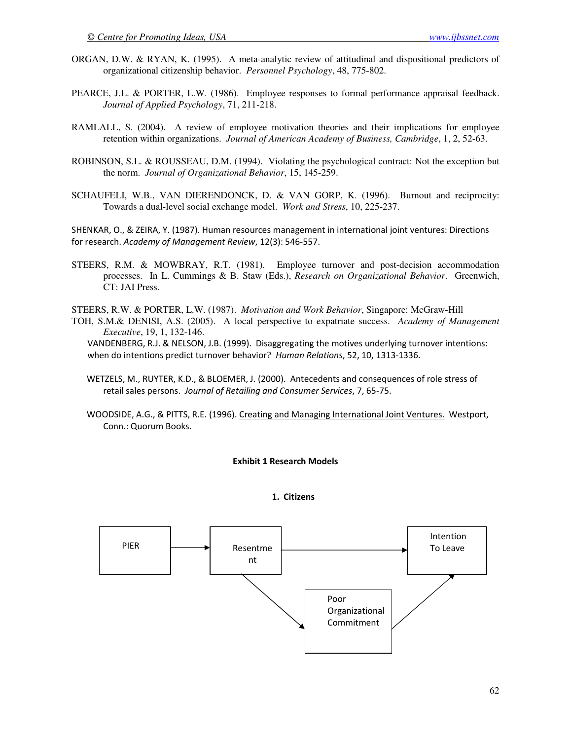- ORGAN, D.W. & RYAN, K. (1995). A meta-analytic review of attitudinal and dispositional predictors of organizational citizenship behavior. *Personnel Psychology*, 48, 775-802.
- PEARCE, J.L. & PORTER, L.W. (1986). Employee responses to formal performance appraisal feedback. *Journal of Applied Psychology*, 71, 211-218.
- RAMLALL, S. (2004). A review of employee motivation theories and their implications for employee retention within organizations. *Journal of American Academy of Business, Cambridge*, 1, 2, 52-63.
- ROBINSON, S.L. & ROUSSEAU, D.M. (1994). Violating the psychological contract: Not the exception but the norm. *Journal of Organizational Behavior*, 15, 145-259.
- SCHAUFELI, W.B., VAN DIERENDONCK, D. & VAN GORP, K. (1996). Burnout and reciprocity: Towards a dual-level social exchange model. *Work and Stress*, 10, 225-237.

SHENKAR, O., & ZEIRA, Y. (1987). Human resources management in international joint ventures: Directions for research. Academy of Management Review, 12(3): 546-557.

STEERS, R.M. & MOWBRAY, R.T. (1981). Employee turnover and post-decision accommodation processes. In L. Cummings & B. Staw (Eds.), *Research on Organizational Behavior*. Greenwich, CT: JAI Press.

STEERS, R.W. & PORTER, L.W. (1987). *Motivation and Work Behavior*, Singapore: McGraw-Hill TOH, S.M.& DENISI, A.S. (2005). A local perspective to expatriate success. *Academy of Management Executive*, 19, 1, 132-146. VANDENBERG, R.J. & NELSON, J.B. (1999). Disaggregating the motives underlying turnover intentions: when do intentions predict turnover behavior? Human Relations, 52, 10, 1313-1336.

 WETZELS, M., RUYTER, K.D., & BLOEMER, J. (2000). Antecedents and consequences of role stress of retail sales persons. Journal of Retailing and Consumer Services, 7, 65-75.

 WOODSIDE, A.G., & PITTS, R.E. (1996). Creating and Managing International Joint Ventures. Westport, Conn.: Quorum Books.

#### Exhibit 1 Research Models

#### 1. Citizens

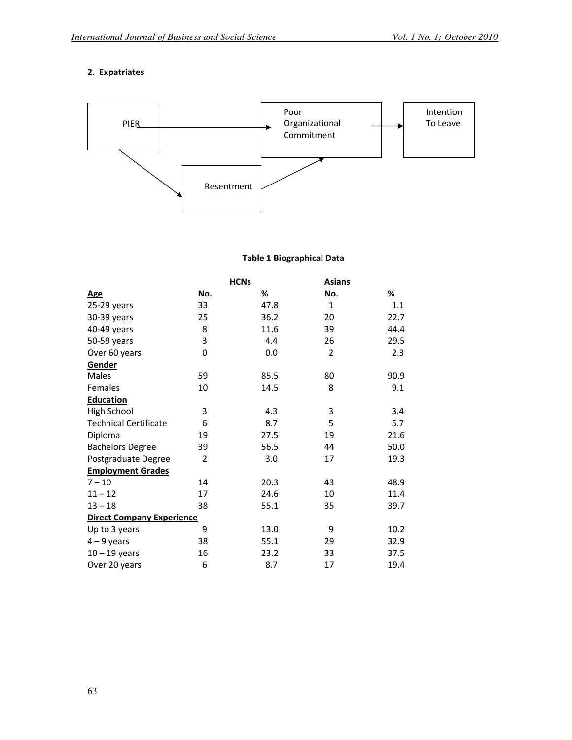# 2. Expatriates



# Table 1 Biographical Data

|                                  | <b>HCNs</b>    |      | <b>Asians</b>  |      |
|----------------------------------|----------------|------|----------------|------|
| <u>Age</u>                       | No.            | ℅    | No.            | %    |
| 25-29 years                      | 33             | 47.8 | $\mathbf{1}$   | 1.1  |
| 30-39 years                      | 25             | 36.2 | 20             | 22.7 |
| 40-49 years                      | 8              | 11.6 | 39             | 44.4 |
| 50-59 years                      | 3              | 4.4  | 26             | 29.5 |
| Over 60 years                    | 0              | 0.0  | $\overline{2}$ | 2.3  |
| Gender                           |                |      |                |      |
| Males                            | 59             | 85.5 | 80             | 90.9 |
| Females                          | 10             | 14.5 | 8              | 9.1  |
| <b>Education</b>                 |                |      |                |      |
| High School                      | 3              | 4.3  | 3              | 3.4  |
| <b>Technical Certificate</b>     | 6              | 8.7  | 5              | 5.7  |
| Diploma                          | 19             | 27.5 | 19             | 21.6 |
| <b>Bachelors Degree</b>          | 39             | 56.5 | 44             | 50.0 |
| Postgraduate Degree              | $\overline{2}$ | 3.0  | 17             | 19.3 |
| <b>Employment Grades</b>         |                |      |                |      |
| $7 - 10$                         | 14             | 20.3 | 43             | 48.9 |
| $11 - 12$                        | 17             | 24.6 | 10             | 11.4 |
| $13 - 18$                        | 38             | 55.1 | 35             | 39.7 |
| <b>Direct Company Experience</b> |                |      |                |      |
| Up to 3 years                    | 9              | 13.0 | 9              | 10.2 |
| $4 - 9$ years                    | 38             | 55.1 | 29             | 32.9 |
| $10 - 19$ years                  | 16             | 23.2 | 33             | 37.5 |
| Over 20 years                    | 6              | 8.7  | 17             | 19.4 |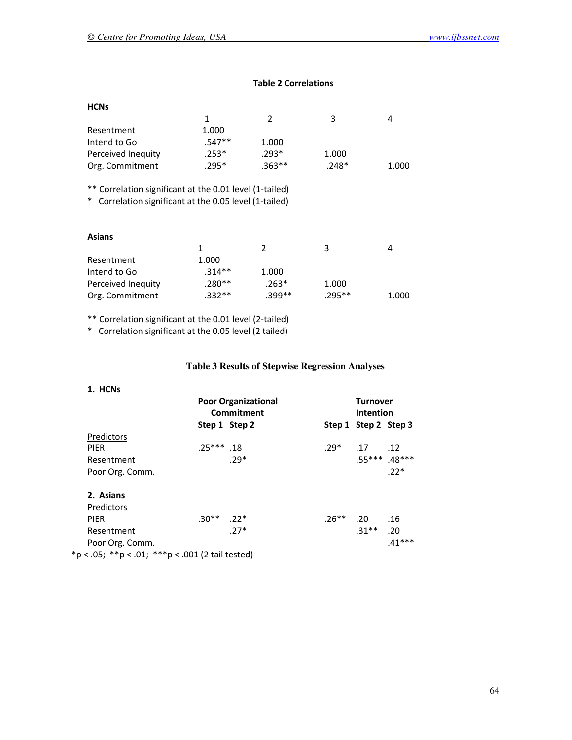# Table 2 Correlations

| <b>HCNs</b>                                                                                                               |          |                |         |       |
|---------------------------------------------------------------------------------------------------------------------------|----------|----------------|---------|-------|
|                                                                                                                           | 1        | 2              | 3       | 4     |
| Resentment                                                                                                                | 1.000    |                |         |       |
| Intend to Go                                                                                                              | $.547**$ | 1.000          |         |       |
| Perceived Inequity                                                                                                        | $.253*$  | $.293*$        | 1.000   |       |
| Org. Commitment                                                                                                           | $.295*$  | $.363**$       | $.248*$ | 1.000 |
| ** Correlation significant at the 0.01 level (1-tailed)<br>Correlation significant at the 0.05 level (1-tailed)<br>$\ast$ |          |                |         |       |
| <b>Asians</b>                                                                                                             |          |                |         |       |
|                                                                                                                           | 1        | $\mathfrak{p}$ | 3       | 4     |
| Resentment                                                                                                                | 1.000    |                |         |       |
| Intend to Go                                                                                                              | $.314**$ | 1.000          |         |       |
| Perceived Inequity                                                                                                        | .280**   | $.263*$        | 1.000   |       |
| Org. Commitment                                                                                                           | $.332**$ | $.399**$       | .295**  | 1.000 |

\*\* Correlation significant at the 0.01 level (2-tailed)

\* Correlation significant at the 0.05 level (2 tailed)

# **Table 3 Results of Stepwise Regression Analyses**

| 1. HCNs                                          | <b>Poor Organizational</b><br>Commitment |               |         | <b>Turnover</b><br><b>Intention</b> |                 |
|--------------------------------------------------|------------------------------------------|---------------|---------|-------------------------------------|-----------------|
|                                                  |                                          | Step 1 Step 2 |         | Step 1 Step 2 Step 3                |                 |
| Predictors                                       |                                          |               |         |                                     |                 |
| <b>PIER</b>                                      | $.25***$ .18                             |               | $.29*$  | .17                                 | .12             |
| Resentment                                       |                                          | $.29*$        |         |                                     | $.55***$ .48*** |
| Poor Org. Comm.                                  |                                          |               |         |                                     | $.22*$          |
| 2. Asians                                        |                                          |               |         |                                     |                 |
| Predictors                                       |                                          |               |         |                                     |                 |
| <b>PIER</b>                                      | $.30**$ 22 <sup>*</sup>                  |               | $.26**$ | .20                                 | .16             |
| Resentment                                       |                                          | $.27*$        |         | $.31***$                            | .20             |
| Poor Org. Comm.                                  |                                          |               |         |                                     | $.41***$        |
| *p < .05; **p < .01; ***p < .001 (2 tail tested) |                                          |               |         |                                     |                 |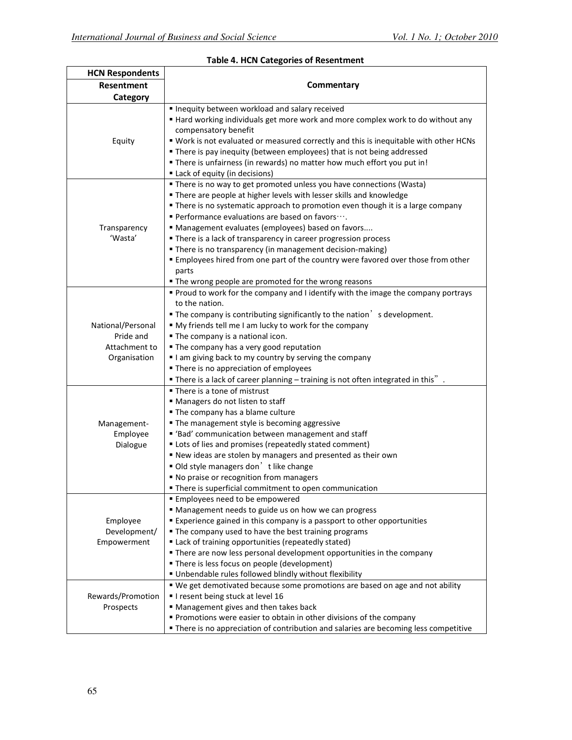| <b>HCN Respondents</b>                                          |                                                                                                                                                                                                                                                                                                                                                                                                                                                                                                                                                                                                                                   |
|-----------------------------------------------------------------|-----------------------------------------------------------------------------------------------------------------------------------------------------------------------------------------------------------------------------------------------------------------------------------------------------------------------------------------------------------------------------------------------------------------------------------------------------------------------------------------------------------------------------------------------------------------------------------------------------------------------------------|
| Resentment                                                      | Commentary                                                                                                                                                                                                                                                                                                                                                                                                                                                                                                                                                                                                                        |
| Category                                                        |                                                                                                                                                                                                                                                                                                                                                                                                                                                                                                                                                                                                                                   |
|                                                                 | Inequity between workload and salary received<br>" Hard working individuals get more work and more complex work to do without any<br>compensatory benefit                                                                                                                                                                                                                                                                                                                                                                                                                                                                         |
| Equity                                                          | " Work is not evaluated or measured correctly and this is inequitable with other HCNs<br>" There is pay inequity (between employees) that is not being addressed<br>" There is unfairness (in rewards) no matter how much effort you put in!<br>Lack of equity (in decisions)                                                                                                                                                                                                                                                                                                                                                     |
| Transparency<br>'Wasta'                                         | " There is no way to get promoted unless you have connections (Wasta)<br>" There are people at higher levels with lesser skills and knowledge<br>• There is no systematic approach to promotion even though it is a large company<br>Performance evaluations are based on favors ···.<br>" Management evaluates (employees) based on favors<br>There is a lack of transparency in career progression process<br>" There is no transparency (in management decision-making)<br>■ Employees hired from one part of the country were favored over those from other<br>parts<br>. The wrong people are promoted for the wrong reasons |
| National/Personal<br>Pride and<br>Attachment to<br>Organisation | Proud to work for the company and I identify with the image the company portrays<br>to the nation.<br>$\blacksquare$ The company is contributing significantly to the nation $\delta$ s development.<br>" My friends tell me I am lucky to work for the company<br>. The company is a national icon.<br>• The company has a very good reputation<br>I am giving back to my country by serving the company<br>• There is no appreciation of employees<br>$\blacksquare$ There is a lack of career planning $-$ training is not often integrated in this".                                                                          |
| Management-<br>Employee<br>Dialogue                             | ■ There is a tone of mistrust<br>" Managers do not listen to staff<br>• The company has a blame culture<br>• The management style is becoming aggressive<br>■ 'Bad' communication between management and staff<br>" Lots of lies and promises (repeatedly stated comment)<br>" New ideas are stolen by managers and presented as their own<br>Old style managers don't like change<br>" No praise or recognition from managers<br>■ There is superficial commitment to open communication                                                                                                                                         |
| Employee<br>Development/<br>Empowerment                         | <b>Employees need to be empowered</b><br>" Management needs to guide us on how we can progress<br>Experience gained in this company is a passport to other opportunities<br>• The company used to have the best training programs<br>" Lack of training opportunities (repeatedly stated)<br>" There are now less personal development opportunities in the company<br>" There is less focus on people (development)<br>Unbendable rules followed blindly without flexibility                                                                                                                                                     |
| Rewards/Promotion<br>Prospects                                  | " We get demotivated because some promotions are based on age and not ability<br>I resent being stuck at level 16<br>• Management gives and then takes back<br>Promotions were easier to obtain in other divisions of the company<br>" There is no appreciation of contribution and salaries are becoming less competitive                                                                                                                                                                                                                                                                                                        |

## Table 4. HCN Categories of Resentment